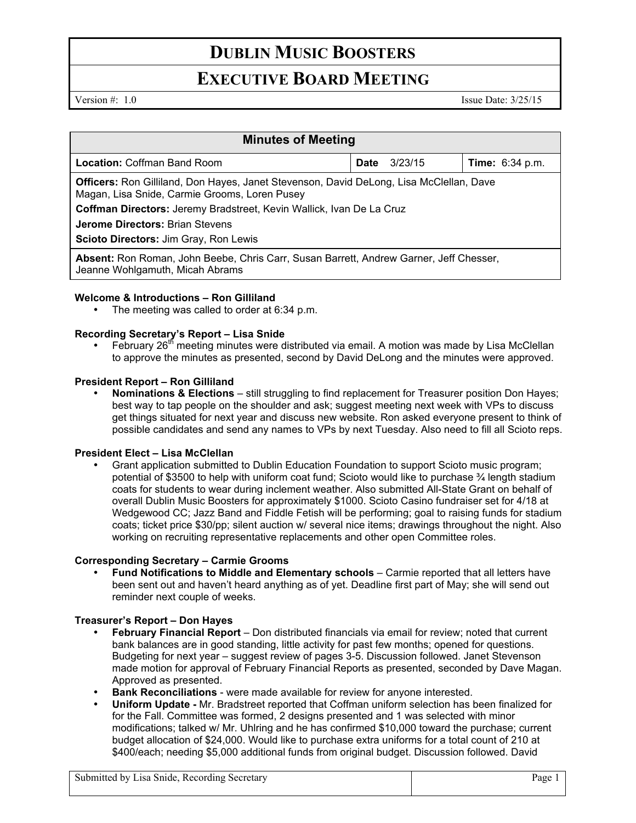# **DUBLIN MUSIC BOOSTERS**

# **EXECUTIVE BOARD MEETING**

Version #: 1.0 Issue Date: 3/25/15

| <b>Minutes of Meeting</b>                                                                                                                       |             |         |                        |
|-------------------------------------------------------------------------------------------------------------------------------------------------|-------------|---------|------------------------|
| <b>Location: Coffman Band Room</b>                                                                                                              | <b>Date</b> | 3/23/15 | <b>Time:</b> 6:34 p.m. |
| <b>Officers:</b> Ron Gilliland, Don Hayes, Janet Stevenson, David DeLong, Lisa McClellan, Dave<br>Magan, Lisa Snide, Carmie Grooms, Loren Pusey |             |         |                        |
| Coffman Directors: Jeremy Bradstreet, Kevin Wallick, Ivan De La Cruz                                                                            |             |         |                        |
| <b>Jerome Directors: Brian Stevens</b>                                                                                                          |             |         |                        |
| Scioto Directors: Jim Gray, Ron Lewis                                                                                                           |             |         |                        |
| Absent: Ron Roman, John Beebe, Chris Carr, Susan Barrett, Andrew Garner, Jeff Chesser,<br>Jeanne Wohlgamuth, Micah Abrams                       |             |         |                        |

### **Welcome & Introductions – Ron Gilliland**

The meeting was called to order at 6:34 p.m.

## **Recording Secretary's Report – Lisa Snide**

February  $26<sup>th</sup>$  meeting minutes were distributed via email. A motion was made by Lisa McClellan to approve the minutes as presented, second by David DeLong and the minutes were approved.

### **President Report – Ron Gilliland**

• **Nominations & Elections** – still struggling to find replacement for Treasurer position Don Hayes; best way to tap people on the shoulder and ask; suggest meeting next week with VPs to discuss get things situated for next year and discuss new website. Ron asked everyone present to think of possible candidates and send any names to VPs by next Tuesday. Also need to fill all Scioto reps.

### **President Elect – Lisa McClellan**

• Grant application submitted to Dublin Education Foundation to support Scioto music program; potential of \$3500 to help with uniform coat fund; Scioto would like to purchase ¾ length stadium coats for students to wear during inclement weather. Also submitted All-State Grant on behalf of overall Dublin Music Boosters for approximately \$1000. Scioto Casino fundraiser set for 4/18 at Wedgewood CC; Jazz Band and Fiddle Fetish will be performing; goal to raising funds for stadium coats; ticket price \$30/pp; silent auction w/ several nice items; drawings throughout the night. Also working on recruiting representative replacements and other open Committee roles.

### **Corresponding Secretary – Carmie Grooms**

• **Fund Notifications to Middle and Elementary schools** – Carmie reported that all letters have been sent out and haven't heard anything as of yet. Deadline first part of May; she will send out reminder next couple of weeks.

## **Treasurer's Report – Don Hayes**

- **February Financial Report**  Don distributed financials via email for review; noted that current bank balances are in good standing, little activity for past few months; opened for questions. Budgeting for next year – suggest review of pages 3-5. Discussion followed. Janet Stevenson made motion for approval of February Financial Reports as presented, seconded by Dave Magan. Approved as presented.
- **Bank Reconciliations**  were made available for review for anyone interested.
- **Uniform Update -** Mr. Bradstreet reported that Coffman uniform selection has been finalized for for the Fall. Committee was formed, 2 designs presented and 1 was selected with minor modifications; talked w/ Mr. Uhlring and he has confirmed \$10,000 toward the purchase; current budget allocation of \$24,000. Would like to purchase extra uniforms for a total count of 210 at \$400/each; needing \$5,000 additional funds from original budget. Discussion followed. David